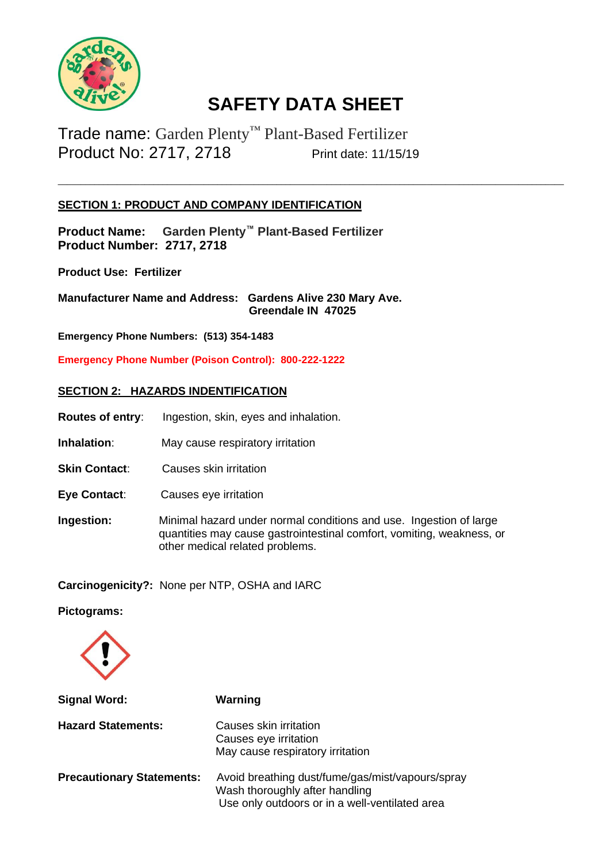

\_\_\_\_\_\_\_\_\_\_\_\_\_\_\_\_\_\_\_\_\_\_\_\_\_\_\_\_\_\_\_\_\_\_\_\_\_\_\_\_\_\_\_\_\_\_\_\_\_\_\_\_\_\_\_\_\_\_\_\_\_\_\_\_\_\_\_\_\_\_\_\_\_\_\_\_\_\_\_\_\_\_\_\_\_\_\_\_\_\_\_\_\_\_\_\_\_\_\_\_\_\_\_\_\_\_\_\_\_\_\_

Trade name: Garden Plenty™ Plant-Based Fertilizer Product No: 2717, 2718 Print date: 11/15/19

## **SECTION 1: PRODUCT AND COMPANY IDENTIFICATION**

**Product Name: Garden Plenty™ Plant-Based Fertilizer Product Number: 2717, 2718**

**Product Use: Fertilizer** 

**Manufacturer Name and Address: Gardens Alive 230 Mary Ave. Greendale IN 47025**

**Emergency Phone Numbers: (513) 354-1483**

**Emergency Phone Number (Poison Control): 800-222-1222**

#### **SECTION 2: HAZARDS INDENTIFICATION**

- **Routes of entry**: Ingestion, skin, eyes and inhalation.
- **Inhalation:** May cause respiratory irritation
- **Skin Contact:** Causes skin irritation
- **Eye Contact**: Causes eye irritation
- **Ingestion:** Minimal hazard under normal conditions and use. Ingestion of large quantities may cause gastrointestinal comfort, vomiting, weakness, or other medical related problems.

**Carcinogenicity?:** None per NTP, OSHA and IARC

**Pictograms:**



| <b>Signal Word:</b>              | Warning                                                                                                                              |
|----------------------------------|--------------------------------------------------------------------------------------------------------------------------------------|
| <b>Hazard Statements:</b>        | Causes skin irritation<br>Causes eye irritation<br>May cause respiratory irritation                                                  |
| <b>Precautionary Statements:</b> | Avoid breathing dust/fume/gas/mist/vapours/spray<br>Wash thoroughly after handling<br>Use only outdoors or in a well-ventilated area |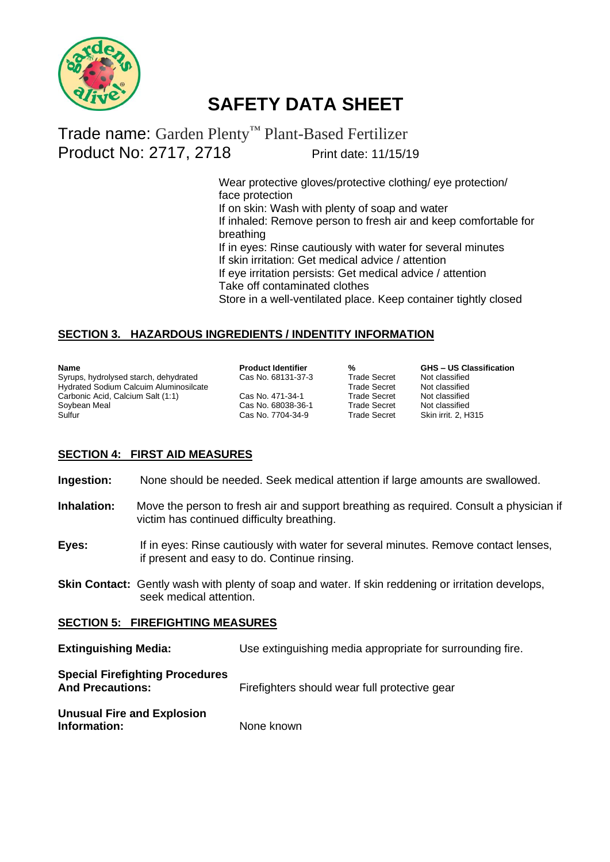

# Trade name: Garden Plenty™ Plant-Based Fertilizer Product No: 2717, 2718 Print date: 11/15/19

 Wear protective gloves/protective clothing/ eye protection/ face protection If on skin: Wash with plenty of soap and water If inhaled: Remove person to fresh air and keep comfortable for breathing If in eyes: Rinse cautiously with water for several minutes If skin irritation: Get medical advice / attention If eye irritation persists: Get medical advice / attention Take off contaminated clothes Store in a well-ventilated place. Keep container tightly closed

## **SECTION 3. HAZARDOUS INGREDIENTS / INDENTITY INFORMATION**

| <b>Name</b>                                   |
|-----------------------------------------------|
| Syrups, hydrolysed starch, dehydrated         |
| <b>Hydrated Sodium Calcuim Aluminosilcate</b> |
| Carbonic Acid, Calcium Salt (1:1)             |
| Soybean Meal                                  |
| Sulfur                                        |

Cas No. 68131-37-3 Trade Secret Not classified<br>Trade Secret Not classified Cas No. 471-34-1 Cas No. 68038-36-1 Trade Secret Not classified<br>
Cas No. 7704-34-9 Trade Secret Skin irrit. 2, H315 Cas No. 7704-34-9

**Product Identifier 12 % GHS – US Classification**<br>Cas No. 68131-37-3 **Trade Secret** Mot classified Trade Secret Not classified<br>Trade Secret Not classified

#### **SECTION 4: FIRST AID MEASURES**

**Ingestion:** None should be needed. Seek medical attention if large amounts are swallowed.

- **Inhalation:** Move the person to fresh air and support breathing as required. Consult a physician if victim has continued difficulty breathing.
- **Eyes:** If in eyes: Rinse cautiously with water for several minutes. Remove contact lenses, if present and easy to do. Continue rinsing.
- **Skin Contact:** Gently wash with plenty of soap and water. If skin reddening or irritation develops, seek medical attention.

#### **SECTION 5: FIREFIGHTING MEASURES**

| <b>Extinguishing Media:</b>                                       | Use extinguishing media appropriate for surrounding fire. |
|-------------------------------------------------------------------|-----------------------------------------------------------|
| <b>Special Firefighting Procedures</b><br><b>And Precautions:</b> | Firefighters should wear full protective gear             |
| <b>Unusual Fire and Explosion</b><br>Information:                 | None known                                                |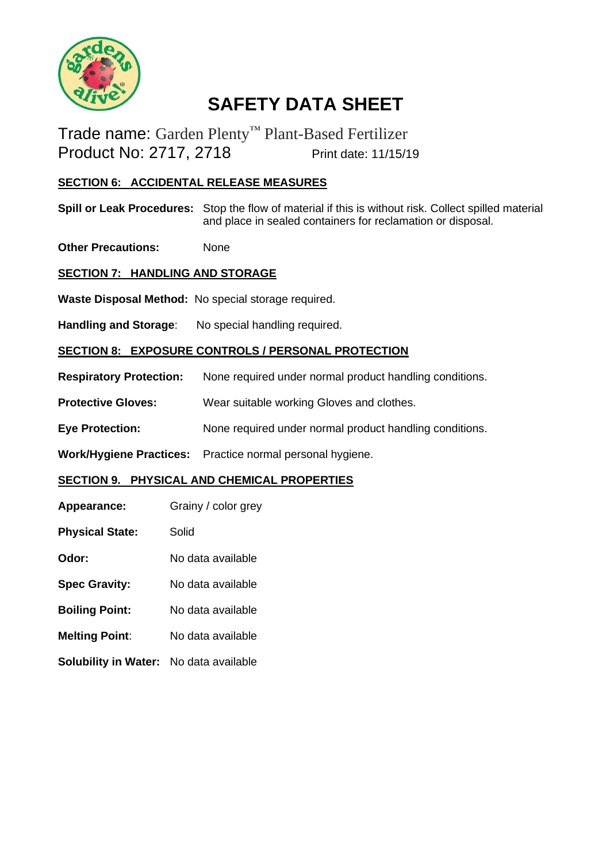

Trade name: Garden Plenty™ Plant-Based Fertilizer Product No: 2717, 2718 Print date: 11/15/19

# **SECTION 6: ACCIDENTAL RELEASE MEASURES**

**Spill or Leak Procedures:** Stop the flow of material if this is without risk. Collect spilled material and place in sealed containers for reclamation or disposal.

**Other Precautions:** None

## **SECTION 7: HANDLING AND STORAGE**

**Waste Disposal Method:** No special storage required.

Handling and Storage: No special handling required.

#### **SECTION 8: EXPOSURE CONTROLS / PERSONAL PROTECTION**

- **Respiratory Protection:** None required under normal product handling conditions.
- **Protective Gloves:** Wear suitable working Gloves and clothes.
- **Eye Protection:** None required under normal product handling conditions.

**Work/Hygiene Practices:** Practice normal personal hygiene.

#### **SECTION 9. PHYSICAL AND CHEMICAL PROPERTIES**

- **Appearance:** Grainy / color grey
- **Physical State:** Solid
- **Odor:** No data available
- **Spec Gravity:** No data available
- **Boiling Point:** No data available
- **Melting Point**: No data available
- **Solubility in Water:** No data available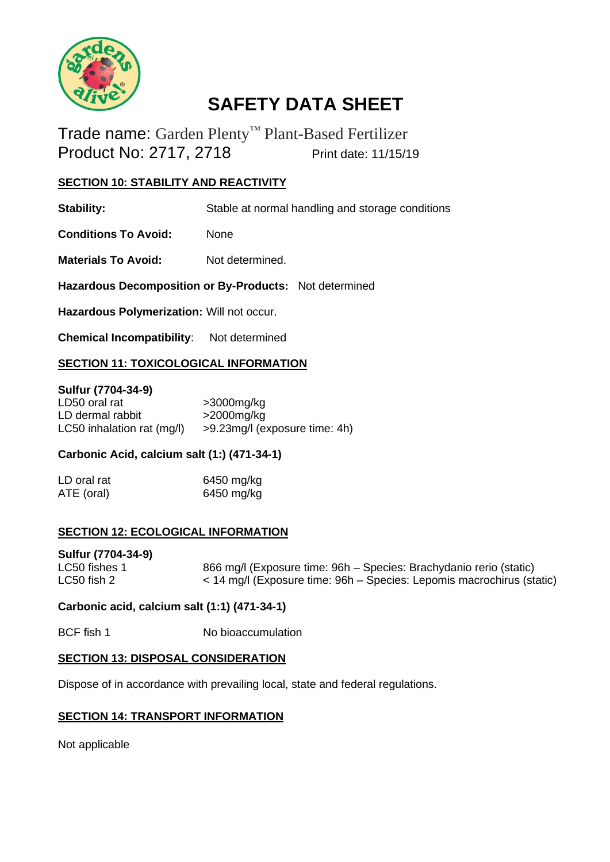

Trade name: Garden Plenty™ Plant-Based Fertilizer Product No: 2717, 2718 Print date: 11/15/19

#### **SECTION 10: STABILITY AND REACTIVITY**

**Stability:** Stable at normal handling and storage conditions

**Conditions To Avoid:** None

**Materials To Avoid:** Not determined.

**Hazardous Decomposition or By-Products:** Not determined

**Hazardous Polymerization:** Will not occur.

**Chemical Incompatibility**: Not determined

# **SECTION 11: TOXICOLOGICAL INFORMATION**

#### **Sulfur (7704-34-9)**

| LD50 oral rat              | $>3000$ mg/kg                 |
|----------------------------|-------------------------------|
| LD dermal rabbit           | $>$ 2000 $mg/kg$              |
| LC50 inhalation rat (mg/l) | >9.23mg/l (exposure time: 4h) |

## **Carbonic Acid, calcium salt (1:) (471-34-1)**

| LD oral rat | 6450 mg/kg |
|-------------|------------|
| ATE (oral)  | 6450 mg/kg |

#### **SECTION 12: ECOLOGICAL INFORMATION**

#### **Sulfur (7704-34-9)**

| LC50 fishes 1 | 866 mg/l (Exposure time: 96h – Species: Brachydanio rerio (static)    |
|---------------|-----------------------------------------------------------------------|
| LC50 fish 2   | < 14 mg/l (Exposure time: 96h – Species: Lepomis macrochirus (static) |

#### **Carbonic acid, calcium salt (1:1) (471-34-1)**

BCF fish 1 No bioaccumulation

#### **SECTION 13: DISPOSAL CONSIDERATION**

Dispose of in accordance with prevailing local, state and federal regulations.

#### **SECTION 14: TRANSPORT INFORMATION**

Not applicable